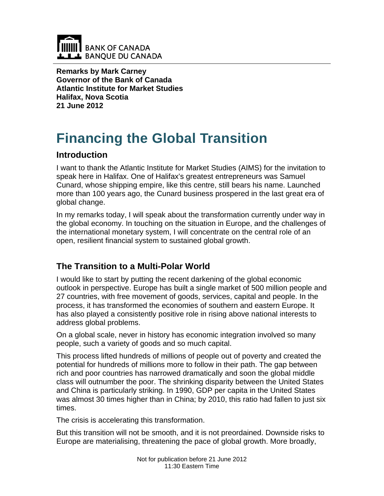

**Remarks by Mark Carney Governor of the Bank of Canada Atlantic Institute for Market Studies Halifax, Nova Scotia 21 June 2012** 

# **Financing the Global Transition**

## **Introduction**

I want to thank the Atlantic Institute for Market Studies (AIMS) for the invitation to speak here in Halifax. One of Halifax's greatest entrepreneurs was Samuel Cunard, whose shipping empire, like this centre, still bears his name. Launched more than 100 years ago, the Cunard business prospered in the last great era of global change.

In my remarks today, I will speak about the transformation currently under way in the global economy. In touching on the situation in Europe, and the challenges of the international monetary system, I will concentrate on the central role of an open, resilient financial system to sustained global growth.

# **The Transition to a Multi-Polar World**

I would like to start by putting the recent darkening of the global economic outlook in perspective. Europe has built a single market of 500 million people and 27 countries, with free movement of goods, services, capital and people. In the process, it has transformed the economies of southern and eastern Europe. It has also played a consistently positive role in rising above national interests to address global problems.

On a global scale, never in history has economic integration involved so many people, such a variety of goods and so much capital.

This process lifted hundreds of millions of people out of poverty and created the potential for hundreds of millions more to follow in their path. The gap between rich and poor countries has narrowed dramatically and soon the global middle class will outnumber the poor. The shrinking disparity between the United States and China is particularly striking. In 1990, GDP per capita in the United States was almost 30 times higher than in China; by 2010, this ratio had fallen to just six times.

The crisis is accelerating this transformation.

But this transition will not be smooth, and it is not preordained. Downside risks to Europe are materialising, threatening the pace of global growth. More broadly,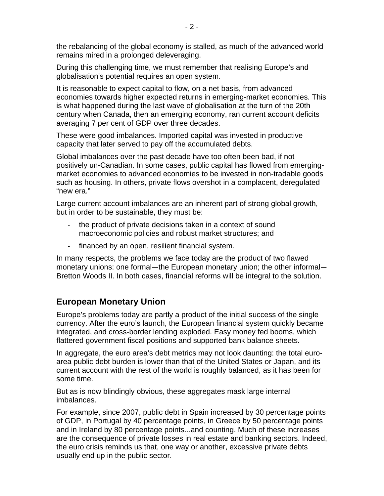the rebalancing of the global economy is stalled, as much of the advanced world remains mired in a prolonged deleveraging.

During this challenging time, we must remember that realising Europe's and globalisation's potential requires an open system.

It is reasonable to expect capital to flow, on a net basis, from advanced economies towards higher expected returns in emerging-market economies. This is what happened during the last wave of globalisation at the turn of the 20th century when Canada, then an emerging economy, ran current account deficits averaging 7 per cent of GDP over three decades.

These were good imbalances. Imported capital was invested in productive capacity that later served to pay off the accumulated debts.

Global imbalances over the past decade have too often been bad, if not positively un-Canadian. In some cases, public capital has flowed from emergingmarket economies to advanced economies to be invested in non-tradable goods such as housing. In others, private flows overshot in a complacent, deregulated "new era."

Large current account imbalances are an inherent part of strong global growth, but in order to be sustainable, they must be:

- ‐ the product of private decisions taken in a context of sound macroeconomic policies and robust market structures; and
- ‐ financed by an open, resilient financial system.

In many respects, the problems we face today are the product of two flawed monetary unions: one formal—the European monetary union; the other informal— Bretton Woods II. In both cases, financial reforms will be integral to the solution.

## **European Monetary Union**

Europe's problems today are partly a product of the initial success of the single currency. After the euro's launch, the European financial system quickly became integrated, and cross-border lending exploded. Easy money fed booms, which flattered government fiscal positions and supported bank balance sheets.

In aggregate, the euro area's debt metrics may not look daunting: the total euroarea public debt burden is lower than that of the United States or Japan, and its current account with the rest of the world is roughly balanced, as it has been for some time.

But as is now blindingly obvious, these aggregates mask large internal imbalances.

For example, since 2007, public debt in Spain increased by 30 percentage points of GDP, in Portugal by 40 percentage points, in Greece by 50 percentage points and in Ireland by 80 percentage points...and counting. Much of these increases are the consequence of private losses in real estate and banking sectors. Indeed, the euro crisis reminds us that, one way or another, excessive private debts usually end up in the public sector.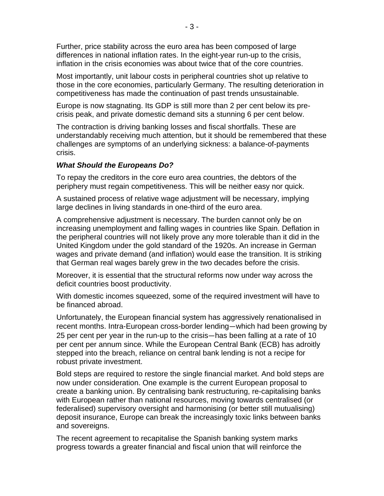Further, price stability across the euro area has been composed of large differences in national inflation rates. In the eight-year run-up to the crisis, inflation in the crisis economies was about twice that of the core countries.

Most importantly, unit labour costs in peripheral countries shot up relative to those in the core economies, particularly Germany. The resulting deterioration in competitiveness has made the continuation of past trends unsustainable.

Europe is now stagnating. Its GDP is still more than 2 per cent below its precrisis peak, and private domestic demand sits a stunning 6 per cent below.

The contraction is driving banking losses and fiscal shortfalls. These are understandably receiving much attention, but it should be remembered that these challenges are symptoms of an underlying sickness: a balance-of-payments crisis.

#### *What Should the Europeans Do?*

To repay the creditors in the core euro area countries, the debtors of the periphery must regain competitiveness. This will be neither easy nor quick.

A sustained process of relative wage adjustment will be necessary, implying large declines in living standards in one-third of the euro area.

A comprehensive adjustment is necessary. The burden cannot only be on increasing unemployment and falling wages in countries like Spain. Deflation in the peripheral countries will not likely prove any more tolerable than it did in the United Kingdom under the gold standard of the 1920s. An increase in German wages and private demand (and inflation) would ease the transition. It is striking that German real wages barely grew in the two decades before the crisis.

Moreover, it is essential that the structural reforms now under way across the deficit countries boost productivity.

With domestic incomes squeezed, some of the required investment will have to be financed abroad.

Unfortunately, the European financial system has aggressively renationalised in recent months. Intra-European cross-border lending—which had been growing by 25 per cent per year in the run-up to the crisis—has been falling at a rate of 10 per cent per annum since. While the European Central Bank (ECB) has adroitly stepped into the breach, reliance on central bank lending is not a recipe for robust private investment.

Bold steps are required to restore the single financial market. And bold steps are now under consideration. One example is the current European proposal to create a banking union. By centralising bank restructuring, re-capitalising banks with European rather than national resources, moving towards centralised (or federalised) supervisory oversight and harmonising (or better still mutualising) deposit insurance, Europe can break the increasingly toxic links between banks and sovereigns.

The recent agreement to recapitalise the Spanish banking system marks progress towards a greater financial and fiscal union that will reinforce the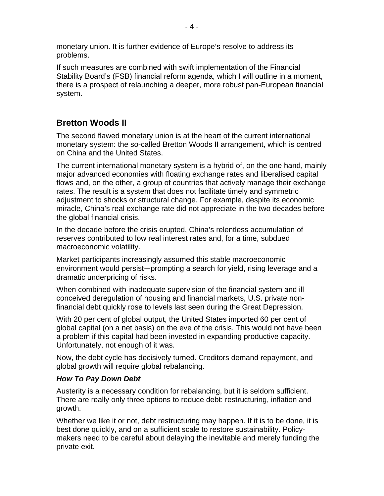monetary union. It is further evidence of Europe's resolve to address its problems.

If such measures are combined with swift implementation of the Financial Stability Board's (FSB) financial reform agenda, which I will outline in a moment, there is a prospect of relaunching a deeper, more robust pan-European financial system.

# **Bretton Woods II**

The second flawed monetary union is at the heart of the current international monetary system: the so-called Bretton Woods II arrangement, which is centred on China and the United States.

The current international monetary system is a hybrid of, on the one hand, mainly major advanced economies with floating exchange rates and liberalised capital flows and, on the other, a group of countries that actively manage their exchange rates. The result is a system that does not facilitate timely and symmetric adjustment to shocks or structural change. For example, despite its economic miracle, China's real exchange rate did not appreciate in the two decades before the global financial crisis.

In the decade before the crisis erupted, China's relentless accumulation of reserves contributed to low real interest rates and, for a time, subdued macroeconomic volatility.

Market participants increasingly assumed this stable macroeconomic environment would persist—prompting a search for yield, rising leverage and a dramatic underpricing of risks.

When combined with inadequate supervision of the financial system and illconceived deregulation of housing and financial markets, U.S. private nonfinancial debt quickly rose to levels last seen during the Great Depression.

With 20 per cent of global output, the United States imported 60 per cent of global capital (on a net basis) on the eve of the crisis. This would not have been a problem if this capital had been invested in expanding productive capacity. Unfortunately, not enough of it was.

Now, the debt cycle has decisively turned. Creditors demand repayment, and global growth will require global rebalancing.

## *How To Pay Down Debt*

Austerity is a necessary condition for rebalancing, but it is seldom sufficient. There are really only three options to reduce debt: restructuring, inflation and growth.

Whether we like it or not, debt restructuring may happen. If it is to be done, it is best done quickly, and on a sufficient scale to restore sustainability. Policymakers need to be careful about delaying the inevitable and merely funding the private exit.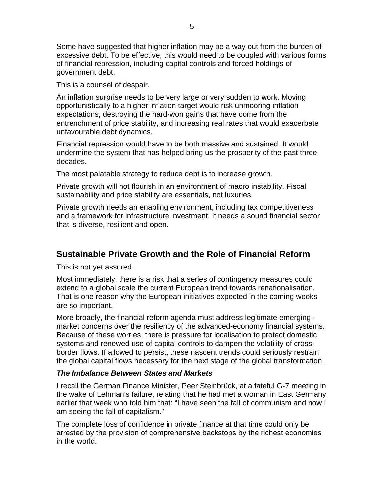Some have suggested that higher inflation may be a way out from the burden of excessive debt. To be effective, this would need to be coupled with various forms of financial repression, including capital controls and forced holdings of government debt.

This is a counsel of despair.

An inflation surprise needs to be very large or very sudden to work. Moving opportunistically to a higher inflation target would risk unmooring inflation expectations, destroying the hard-won gains that have come from the entrenchment of price stability, and increasing real rates that would exacerbate unfavourable debt dynamics.

Financial repression would have to be both massive and sustained. It would undermine the system that has helped bring us the prosperity of the past three decades.

The most palatable strategy to reduce debt is to increase growth.

Private growth will not flourish in an environment of macro instability. Fiscal sustainability and price stability are essentials, not luxuries.

Private growth needs an enabling environment, including tax competitiveness and a framework for infrastructure investment. It needs a sound financial sector that is diverse, resilient and open.

## **Sustainable Private Growth and the Role of Financial Reform**

This is not yet assured.

Most immediately, there is a risk that a series of contingency measures could extend to a global scale the current European trend towards renationalisation. That is one reason why the European initiatives expected in the coming weeks are so important.

More broadly, the financial reform agenda must address legitimate emergingmarket concerns over the resiliency of the advanced-economy financial systems. Because of these worries, there is pressure for localisation to protect domestic systems and renewed use of capital controls to dampen the volatility of crossborder flows. If allowed to persist, these nascent trends could seriously restrain the global capital flows necessary for the next stage of the global transformation.

#### *The Imbalance Between States and Markets*

I recall the German Finance Minister, Peer Steinbrück, at a fateful G-7 meeting in the wake of Lehman's failure, relating that he had met a woman in East Germany earlier that week who told him that: "I have seen the fall of communism and now I am seeing the fall of capitalism."

The complete loss of confidence in private finance at that time could only be arrested by the provision of comprehensive backstops by the richest economies in the world.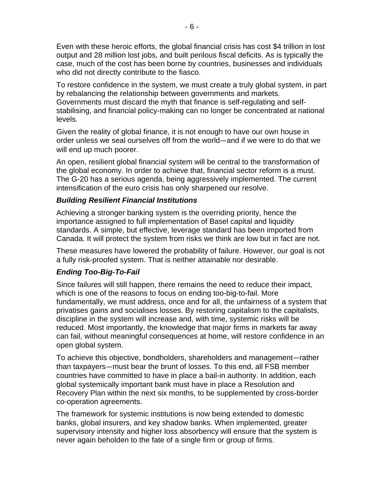Even with these heroic efforts, the global financial crisis has cost \$4 trillion in lost output and 28 million lost jobs, and built perilous fiscal deficits. As is typically the case, much of the cost has been borne by countries, businesses and individuals who did not directly contribute to the fiasco.

To restore confidence in the system, we must create a truly global system, in part by rebalancing the relationship between governments and markets. Governments must discard the myth that finance is self-regulating and selfstabilising, and financial policy-making can no longer be concentrated at national levels.

Given the reality of global finance, it is not enough to have our own house in order unless we seal ourselves off from the world—and if we were to do that we will end up much poorer.

An open, resilient global financial system will be central to the transformation of the global economy. In order to achieve that, financial sector reform is a must. The G-20 has a serious agenda, being aggressively implemented. The current intensification of the euro crisis has only sharpened our resolve.

#### *Building Resilient Financial Institutions*

Achieving a stronger banking system is the overriding priority, hence the importance assigned to full implementation of Basel capital and liquidity standards. A simple, but effective, leverage standard has been imported from Canada. It will protect the system from risks we think are low but in fact are not.

These measures have lowered the probability of failure. However, our goal is not a fully risk-proofed system. That is neither attainable nor desirable.

### *Ending Too-Big-To-Fail*

Since failures will still happen, there remains the need to reduce their impact, which is one of the reasons to focus on ending too-big-to-fail. More fundamentally, we must address, once and for all, the unfairness of a system that privatises gains and socialises losses. By restoring capitalism to the capitalists, discipline in the system will increase and, with time, systemic risks will be reduced. Most importantly, the knowledge that major firms in markets far away can fail, without meaningful consequences at home, will restore confidence in an open global system.

To achieve this objective, bondholders, shareholders and management—rather than taxpayers—must bear the brunt of losses. To this end, all FSB member countries have committed to have in place a bail-in authority. In addition, each global systemically important bank must have in place a Resolution and Recovery Plan within the next six months, to be supplemented by cross-border co-operation agreements.

The framework for systemic institutions is now being extended to domestic banks, global insurers, and key shadow banks. When implemented, greater supervisory intensity and higher loss absorbency will ensure that the system is never again beholden to the fate of a single firm or group of firms.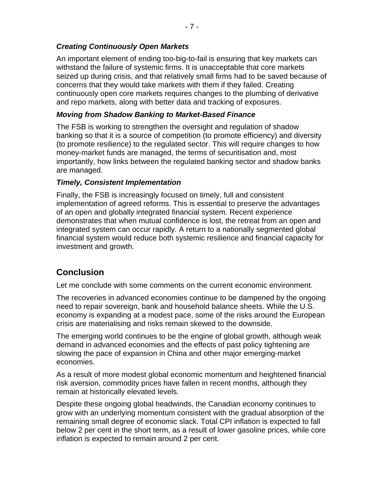### *Creating Continuously Open Markets*

An important element of ending too-big-to-fail is ensuring that key markets can withstand the failure of systemic firms. It is unacceptable that core markets seized up during crisis, and that relatively small firms had to be saved because of concerns that they would take markets with them if they failed. Creating continuously open core markets requires changes to the plumbing of derivative and repo markets, along with better data and tracking of exposures.

#### *Moving from Shadow Banking to Market-Based Finance*

The FSB is working to strengthen the oversight and regulation of shadow banking so that it is a source of competition (to promote efficiency) and diversity (to promote resilience) to the regulated sector. This will require changes to how money-market funds are managed, the terms of securitisation and, most importantly, how links between the regulated banking sector and shadow banks are managed.

#### *Timely, Consistent Implementation*

Finally, the FSB is increasingly focused on timely, full and consistent implementation of agreed reforms. This is essential to preserve the advantages of an open and globally integrated financial system. Recent experience demonstrates that when mutual confidence is lost, the retreat from an open and integrated system can occur rapidly. A return to a nationally segmented global financial system would reduce both systemic resilience and financial capacity for investment and growth.

## **Conclusion**

Let me conclude with some comments on the current economic environment.

The recoveries in advanced economies continue to be dampened by the ongoing need to repair sovereign, bank and household balance sheets. While the U.S. economy is expanding at a modest pace, some of the risks around the European crisis are materialising and risks remain skewed to the downside.

The emerging world continues to be the engine of global growth, although weak demand in advanced economies and the effects of past policy tightening are slowing the pace of expansion in China and other major emerging-market economies.

As a result of more modest global economic momentum and heightened financial risk aversion, commodity prices have fallen in recent months, although they remain at historically elevated levels.

Despite these ongoing global headwinds, the Canadian economy continues to grow with an underlying momentum consistent with the gradual absorption of the remaining small degree of economic slack. Total CPI inflation is expected to fall below 2 per cent in the short term, as a result of lower gasoline prices, while core inflation is expected to remain around 2 per cent.